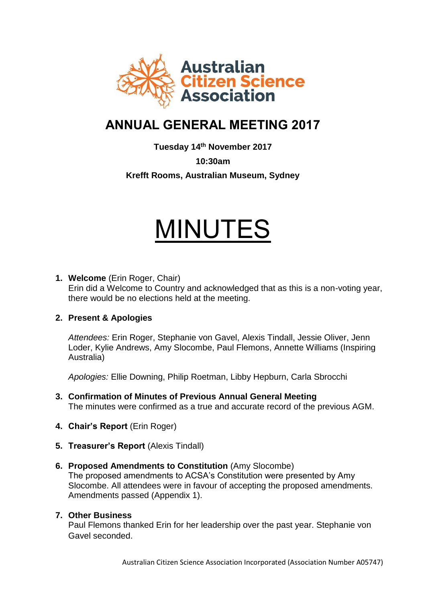

# **ANNUAL GENERAL MEETING 2017**

**Tuesday 14th November 2017**

**10:30am**

**Krefft Rooms, Australian Museum, Sydney**

# MINUTES

**1. Welcome** (Erin Roger, Chair)

Erin did a Welcome to Country and acknowledged that as this is a non-voting year, there would be no elections held at the meeting.

# **2. Present & Apologies**

*Attendees:* Erin Roger, Stephanie von Gavel, Alexis Tindall, Jessie Oliver, Jenn Loder, Kylie Andrews, Amy Slocombe, Paul Flemons, Annette Williams (Inspiring Australia)

*Apologies:* Ellie Downing, Philip Roetman, Libby Hepburn, Carla Sbrocchi

- **3. Confirmation of Minutes of Previous Annual General Meeting** The minutes were confirmed as a true and accurate record of the previous AGM.
- **4. Chair's Report** (Erin Roger)
- **5. Treasurer's Report** (Alexis Tindall)
- **6. Proposed Amendments to Constitution** (Amy Slocombe) The proposed amendments to ACSA's Constitution were presented by Amy Slocombe. All attendees were in favour of accepting the proposed amendments. Amendments passed (Appendix 1).

# **7. Other Business**

Paul Flemons thanked Erin for her leadership over the past year. Stephanie von Gavel seconded.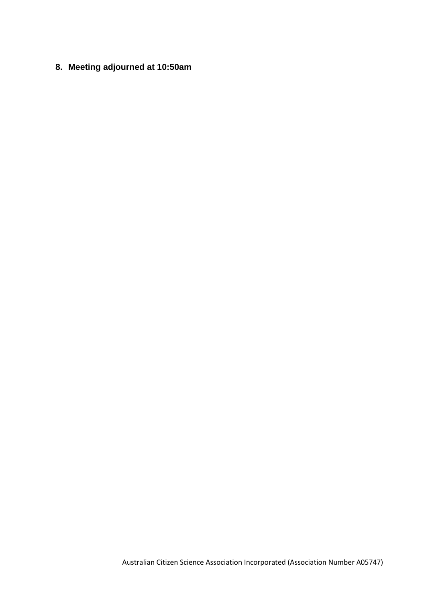**8. Meeting adjourned at 10:50am**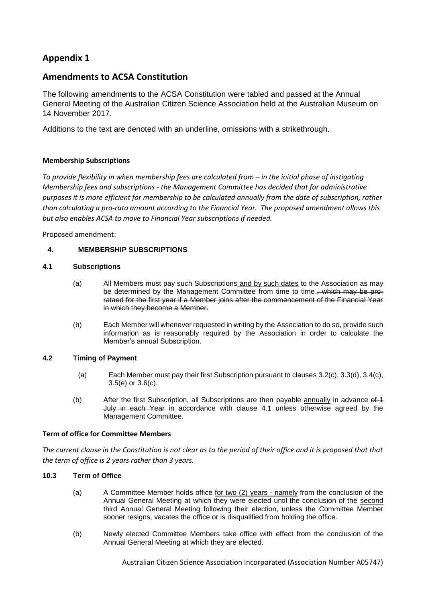# **Appendix 1**

### **Amendments to ACSA Constitution**

The following amendments to the ACSA Constitution were tabled and passed at the Annual General Meeting of the Australian Citizen Science Association held at the Australian Museum on 14 November 2017.

Additions to the text are denoted with an underline, omissions with a strikethrough.

#### **Membership Subscriptions**

*To provide flexibility in when membership fees are calculated from – in the initial phase of instigating Membership fees and subscriptions - the Management Committee has decided that for administrative purposes it is more efficient for membership to be calculated annually from the date of subscription, rather than calculating a pro-rata amount according to the Financial Year. The proposed amendment allows this but also enables ACSA to move to Financial Year subscriptions if needed.* 

Proposed amendment:

#### **4. MEMBERSHIP SUBSCRIPTIONS**

#### <span id="page-2-0"></span>**4.1 Subscriptions**

- (a) All Members must pay such Subscriptions and by such dates to the Association as may be determined by the Management Committee from time to time., which may be prorataed for the first year if a Member joins after the commencement of the Financial Year in which they become a Member.
- (b) Each Member will whenever requested in writing by the Association to do so, provide such information as is reasonably required by the Association in order to calculate the Member's annual Subscription.

#### **4.2 Timing of Payment**

- (a) Each Member must pay their first Subscription pursuant to clauses 3.2(c), 3.3(d), 3.4(c), 3.5(e) or 3.6(c).
- (b) After the first Subscription, all Subscriptions are then payable  $\frac{\text{annually}}{\text{in}}$  advance of  $\frac{4}{3}$ July in each Year in accordance with clause [4.1](#page-2-0) unless otherwise agreed by the Management Committee.

#### **Term of office for Committee Members**

*The current clause in the Constitution is not clear as to the period of their office and it is proposed that that the term of office is 2 years rather than 3 years.* 

#### **10.3 Term of Office**

- (a) A Committee Member holds office for two (2) years namely from the conclusion of the Annual General Meeting at which they were elected until the conclusion of the second third Annual General Meeting following their election, unless the Committee Member sooner resigns, vacates the office or is disqualified from holding the office.
- (b) Newly elected Committee Members take office with effect from the conclusion of the Annual General Meeting at which they are elected.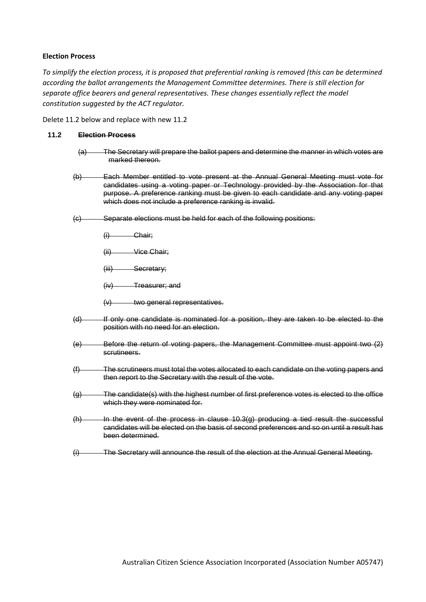#### **Election Process**

*To simplify the election process, it is proposed that preferential ranking is removed (this can be determined according the ballot arrangements the Management Committee determines. There is still election for separate office bearers and general representatives. These changes essentially reflect the model constitution suggested by the ACT regulator.*

Delete 11.2 below and replace with new 11.2

#### **11.2 Election Process**

- (a) The Secretary will prepare the ballot papers and determine the manner in which votes are marked thereon.
- (b) Each Member entitled to vote present at the Annual General Meeting must vote for candidates using a voting paper or Technology provided by the Association for that purpose. A preference ranking must be given to each candidate and any voting paper which does not include a preference ranking is invalid.
- (c) Separate elections must be held for each of the following positions:
	- (i) Chair;
	- (ii) Vice Chair;

(iii) Secretary;

(iv) Treasurer; and

- $(v)$  two general representatives.
- (d) If only one candidate is nominated for a position, they are taken to be elected to the position with no need for an election.
- (e) Before the return of voting papers, the Management Committee must appoint two (2) scrutineers.
- (f) The scrutineers must total the votes allocated to each candidate on the voting papers and then report to the Secretary with the result of the vote.
- <span id="page-3-0"></span>(g) The candidate(s) with the highest number of first preference votes is elected to the office which they were nominated for.
- (h) In the event of the process in clause [10.3\(g\)](#page-3-0) producing a tied result the successful candidates will be elected on the basis of second preferences and so on until a result has been determined.
- (i) The Secretary will announce the result of the election at the Annual General Meeting.